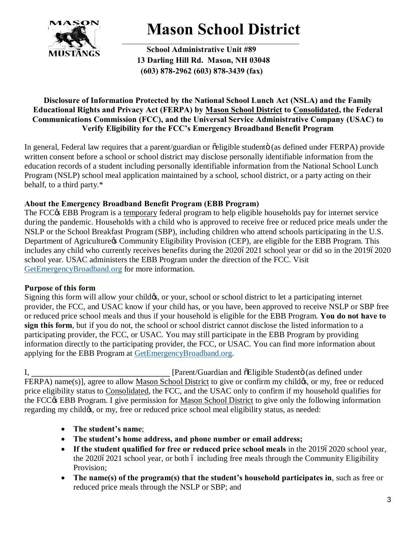

## **Mason School District**

**School Administrative Unit #89 13 Darling Hill Rd. Mason, NH 03048 (603) 878-2962 (603) 878-3439 (fax)**

## **Disclosure of Information Protected by the National School Lunch Act (NSLA) and the Family Educational Rights and Privacy Act (FERPA) by Mason School District to Consolidated, the Federal Communications Commission (FCC), and the Universal Service Administrative Company (USAC) to Verify Eligibility for the FCC's Emergency Broadband Benefit Program**

In general, Federal law requires that a parent/guardian or  $\tilde{o}$ eligible studentö (as defined under FERPA) provide written consent before a school or school district may disclose personally identifiable information from the education records of a student including personally identifiable information from the National School Lunch Program (NSLP) school meal application maintained by a school, school district, or a party acting on their behalf, to a third party.\*

## **About the Emergency Broadband Benefit Program (EBB Program)**

The FCC $\circ$  EBB Program is a temporary federal program to help eligible households pay for internet service during the pandemic. Households with a child who is approved to receive free or reduced price meals under the NSLP or the School Breakfast Program (SBP), including children who attend schools participating in the U.S. Department of Agriculture & Community Eligibility Provision (CEP), are eligible for the EBB Program. This includes any child who currently receives benefits during the 202062021 school year or did so in the 201962020 school year. USAC administers the EBB Program under the direction of the FCC. Visit GetEmergencyBroadband.org for more information.

## **Purpose of this form**

Signing this form will allow your childes, or your, school or school district to let a participating internet provider, the FCC, and USAC know if your child has, or you have, been approved to receive NSLP or SBP free or reduced price school meals and thus if your household is eligible for the EBB Program. **You do not have to sign this form**, but if you do not, the school or school district cannot disclose the listed information to a participating provider, the FCC, or USAC. You may still participate in the EBB Program by providing information directly to the participating provider, the FCC, or USAC. You can find more information about applying for the EBB Program at GetEmergencyBroadband.org.

I, **I** [Parent/Guardian and  $\tilde{E}$  Eligible Studento (as defined under FERPA) name(s)], agree to allow Mason School District to give or confirm my child  $\alpha$ , or my, free or reduced price eligibility status to Consolidated, the FCC, and the USAC only to confirm if my household qualifies for the FCC $\&$  EBB Program. I give permission for Mason School District to give only the following information regarding my child $\alpha$ , or my, free or reduced price school meal eligibility status, as needed:

- · **The student's name**;
- · **The student's home address, and phone number or email address;**
- If the student qualified for free or reduced price school meals in the 201962020 school year, the  $202062021$  school year, or both 6 including free meals through the Community Eligibility Provision;
- · **The name(s) of the program(s) that the student's household participates in**, such as free or reduced price meals through the NSLP or SBP; and